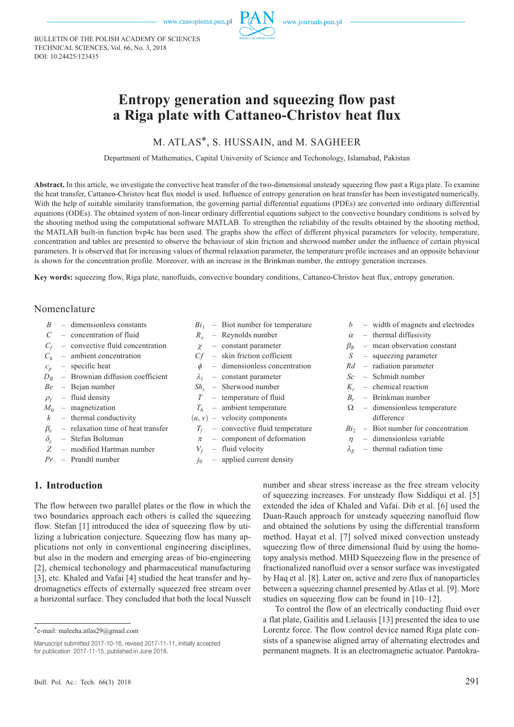BULLETIN OF THE POLISH ACADEMY OF SCIENCES TECHNICAL SCIENCES, Vol. 66, No. 3, 2018 DOI: 10.24425/123435

# **Entropy generation and squeezing flow past a Riga plate with Cattaneo-Christov heat flux**

# M. ATLAS\*, S. HUSSAIN, and M. SAGHEER

Department of Mathematics, Capital University of Science and Techonology, Islamabad, Pakistan

Abstract. In this article, we investigate the convective heat transfer of the two-dimensional unsteady squeezing flow past a Riga plate. To examine the heat transfer, Cattaneo-Christov heat flux model is used. Influence of entropy generation on heat transfer has been investigated numerically. With the help of suitable similarity transformation, the governing partial differential equations (PDEs) are converted into ordinary differential equations (ODEs). The obtained system of non-linear ordinary differential equations subject to the convective boundary conditions is solved by the shooting method using the computational software MATLAB. To strengthen the reliability of the results obtained by the shooting method, the MATLAB built-in function bvp4c has been used. The graphs show the effect of different physical parameters for velocity, temperature, concentration and tables are presented to observe the behaviour of skin friction and sherwood number under the influence of certain physical parameters. It is observed that for increasing values of thermal relaxation parameter, the temperature profile increases and an opposite behaviour is shown for the concentration profile. Moreover, with an increase in the Brinkman number, the entropy generation increases.

**Key words:** squeezing flow, Riga plate, nanofluids, convective boundary conditions, Cattaneo-Christov heat flux, entropy generation.

## Nomenclature

- *B* dimensionless constants
- *C* concentration of fluid
- $C_f$  convective fluid concentration
- $C_h$  ambient concentration
- $c_p$  specific heat
- $D_B$  Brownian diffusion coefficient
- *Be* Bejan number
- $\rho_f$  fluid density
- $M_0$  magnetization
- $k$  thermal conductivity
- $\beta_e$  relaxation time of heat transfer
- $\delta_e$  Stefan Boltzman<br>Z modified Hartma
- *Z* modified Hartman number
- *Pr* Prandtl number
- $Bi<sub>1</sub>$  Biot number for temperature
- *Re* Reynolds number
- $\chi$  constant parameter
- *Cf* skin friction cofficient
- $\phi$  dimensionless concentration
- $\lambda_1$  constant parameter
- $Sh_r$  Sherwood number
- *T* temperature of fluid
- *Th* ambient temperature
- $(u, v)$  velocity components
	- $T_f$  convective fluid temperature
	- $\pi$  component of deformation
- $V_f$  fluid velocity
- $j_0$  applied current density
- *b* width of magnets and electrodes
- $\alpha$  thermal diffusivity
- $\beta_R$  mean observation constant
- *S* squeezing parameter
- *Rd* radiation parameter
- *Sc* Schmidt number
- $K_r$  chemical reaction
- *Br* Brinkman number
- $\Omega$  dimensionless temperature difference
- $Bi<sub>2</sub>$  Biot number for concentration
- $\eta$  dimensionless variable
- $\lambda_E$  thermal radiation time

# **1. Introduction**

The flow between two parallel plates or the flow in which the two boundaries approach each others is called the squeezing flow. Stefan [1] introduced the idea of squeezing flow by utilizing a lubrication conjecture. Squeezing flow has many applications not only in conventional engineering disciplines, but also in the modern and emerging areas of bio-engineering [2], chemical techonology and pharmaceutical manufacturing [3], etc. Khaled and Vafai [4] studied the heat transfer and hydromagnetics effects of externally squeezed free stream over a horizontal surface. They concluded that both the local Nusselt

Manuscript submitted 2017-10-16, revised 2017-11-11, initially accepted for publication 2017-11-15, published in June 2018.

number and shear stress increase as the free stream velocity of squeezing increases. For unsteady flow Siddiqui et al. [5] extended the idea of Khaled and Vafai. Dib et al. [6] used the Duan-Rauch approach for unsteady squeezing nanofluid flow and obtained the solutions by using the differential transform method. Hayat et al. [7] solved mixed convection unsteady squeezing flow of three dimensional fluid by using the homotopy analysis method. MHD Squeezeing flow in the presence of fractionalized nanofluid over a sensor surface was investigated by Haq et al. [8]. Later on, active and zero flux of nanoparticles between a squeezing channel presented by Atlas et al. [9]. More studies on squeezing flow can be found in [10–12].

To control the flow of an electrically conducting fluid over a flat plate, Gailitis and Lielausis [13] presented the idea to use Lorentz force. The flow control device named Riga plate consists of a spanewise aligned array of alternating electrodes and permanent magnets. It is an electromagnetic actuator. Pantokra-

<sup>\*</sup>e-mail: maleeha.atlas29@gmail.com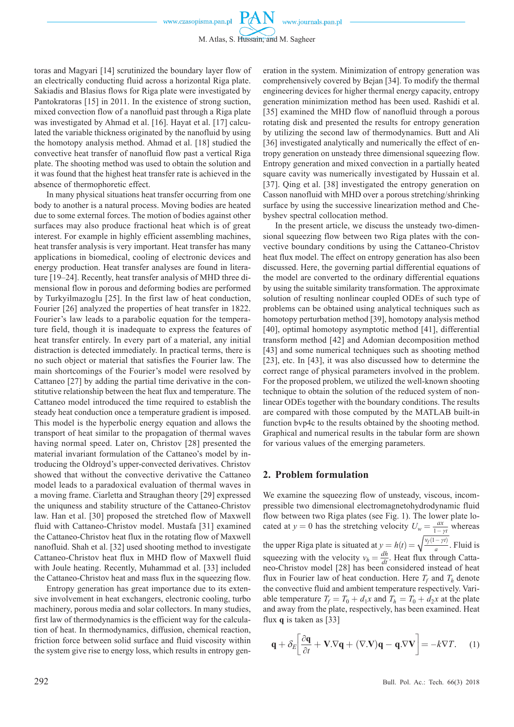toras and Magyari [14] scrutinized the boundary layer flow of an electrically conducting fluid across a horizontal Riga plate. Sakiadis and Blasius flows for Riga plate were investigated by Pantokratoras [15] in 2011. In the existence of strong suction, mixed convection flow of a nanofluid past through a Riga plate was investigated by Ahmad et al. [16]. Hayat et al. [17] calculated the variable thickness originated by the nanofluid by using the homotopy analysis method. Ahmad et al. [18] studied the convective heat transfer of nanofluid flow past a vertical Riga plate. The shooting method was used to obtain the solution and it was found that the highest heat transfer rate is achieved in the absence of thermophoretic effect.

In many physical situations heat transfer occurring from one body to another is a natural process. Moving bodies are heated due to some external forces. The motion of bodies against other surfaces may also produce fractional heat which is of great interest. For example in highly efficient assembling machines, heat transfer analysis is very important. Heat transfer has many applications in biomedical, cooling of electronic devices and energy production. Heat transfer analyses are found in literature [19–24]. Recently, heat transfer analysis of MHD three dimensional flow in porous and deforming bodies are performed by Turkyilmazoglu [25]. In the first law of heat conduction, Fourier [26] analyzed the properties of heat transfer in 1822. Fourier's law leads to a parabolic equation for the temperature field, though it is inadequate to express the features of heat transfer entirely. In every part of a material, any initial distraction is detected immediately. In practical terms, there is no such object or material that satisfies the Fourier law. The main shortcomings of the Fourier's model were resolved by Cattaneo [27] by adding the partial time derivative in the constitutive relationship between the heat flux and temperature. The Cattaneo model introduced the time required to establish the steady heat conduction once a temperature gradient is imposed. This model is the hyperbolic energy equation and allows the transport of heat similar to the propagation of thermal waves having normal speed. Later on, Christov [28] presented the material invariant formulation of the Cattaneo՚s model by introducing the Oldroyd's upper-convected derivatives. Christov showed that without the convective derivative the Cattaneo model leads to a paradoxical evaluation of thermal waves in a moving frame. Ciarletta and Straughan theory [29] expressed the uniquness and stability structure of the Cattaneo-Christov law. Han et al. [30] proposed the stretched flow of Maxwell fluid with Cattaneo-Christov model. Mustafa [31] examined the Cattaneo-Christov heat flux in the rotating flow of Maxwell nanofluid. Shah et al. [32] used shooting method to investigate Cattaneo-Christov heat flux in MHD flow of Maxwell fluid with Joule heating. Recently, Muhammad et al. [33] included the Cattaneo-Christov heat and mass flux in the squeezing flow.

Entropy generation has great importance due to its extensive involvement in heat exchangers, electronic cooling, turbo machinery, porous media and solar collectors. In many studies, first law of thermodynamics is the efficient way for the calculation of heat. In thermodynamics, diffusion, chemical reaction, friction force between solid surface and fluid viscosity within the system give rise to energy loss, which results in entropy generation in the system. Minimization of entropy generation was comprehensively covered by Bejan [34]. To modify the thermal engineering devices for higher thermal energy capacity, entropy generation minimization method has been used. Rashidi et al. [35] examined the MHD flow of nanofluid through a porous rotating disk and presented the results for entropy generation by utilizing the second law of thermodynamics. Butt and Ali [36] investigated analytically and numerically the effect of entropy generation on unsteady three dimensional squeezing flow. Entropy generation and mixed convection in a partially heated square cavity was numerically investigated by Hussain et al. [37]. Qing et al. [38] investigated the entropy generation on Casson nanofluid with MHD over a porous stretching/shrinking surface by using the successive linearization method and Chebyshev spectral collocation method.

In the present article, we discuss the unsteady two-dimensional squeezing flow between two Riga plates with the convective boundary conditions by using the Cattaneo-Christov heat flux model. The effect on entropy generation has also been discussed. Here, the governing partial differential equations of the model are converted to the ordinary differential equations by using the suitable similarity transformation. The approximate solution of resulting nonlinear coupled ODEs of such type of problems can be obtained using analytical techniques such as homotopy perturbation method [39], homotopy analysis method [40], optimal homotopy asymptotic method [41], differential transform method [42] and Adomian decomposition method [43] and some numerical techniques such as shooting method [23], etc. In [43], it was also discussed how to determine the correct range of physical parameters involved in the problem. For the proposed problem, we utilized the well-known shooting technique to obtain the solution of the reduced system of nonlinear ODEs together with the boundary conditions. The results are compared with those computed by the MATLAB built-in function bvp4c to the results obtained by the shooting method. Graphical and numerical results in the tabular form are shown for various values of the emerging parameters.

### **2. Problem formulation**

We examine the squeezing flow of unsteady, viscous, incompressible two dimensional electromagnetohydrodynamic fluid flow between two Riga plates (see Fig. 1). The lower plate located at *y* = 0 has the stretching velocity  $U_w = \frac{ax}{1 - \gamma t}$  whereas the upper Riga plate is situated at  $y = h(t) = \sqrt{\frac{v_f(1-\gamma t)}{a}}$ . Fluid is squeezing with the velocity  $v_h = \frac{dh}{dt}$ . Heat flux through Catta-<br>neo-Christov model [28] has been considered instead of heat flux in Fourier law of heat conduction. Here  $T_f$  and  $T_h$  denote the convective fluid and ambient temperature respectively. Variable temperature  $T_f = T_0 + d_1x$  and  $T_h = T_0 + d_2x$  at the plate and away from the plate, respectively, has been examined. Heat flux **q** is taken as [33]

$$
\mathbf{q} + \delta_E \bigg[ \frac{\partial \mathbf{q}}{\partial t} + \mathbf{V} . \nabla \mathbf{q} + (\nabla . \mathbf{V}) \mathbf{q} - \mathbf{q} . \nabla \mathbf{V} \bigg] = -k \nabla T. \tag{1}
$$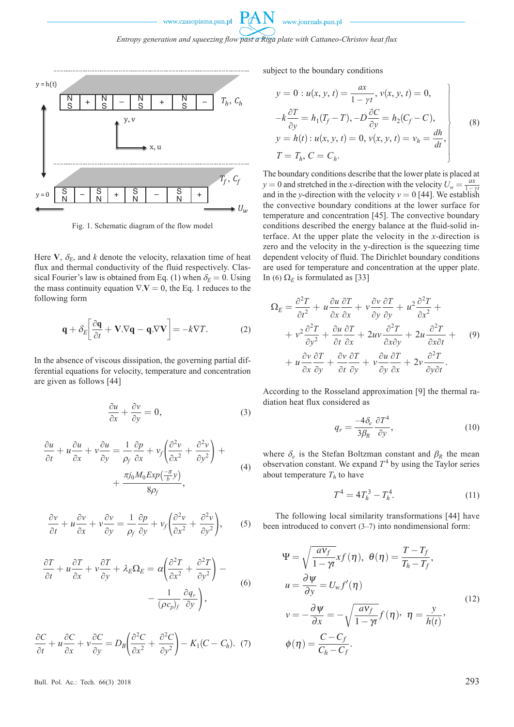*Entropy generation and squeezing flow past a Riga plate with Cattaneo-Christov heat flux*



Fig. 1. Schematic diagram of the flow model

Here  $V$ ,  $\delta_E$ , and *k* denote the velocity, relaxation time of heat flux and thermal conductivity of the fluid respectively. Classical Fourier's law is obtained from Eq. (1) when  $\delta_E = 0$ . Using the mass continuity equation  $\nabla \cdot \mathbf{V} = 0$ , the Eq. 1 reduces to the following form

$$
\mathbf{q} + \delta_E \left[ \frac{\partial \mathbf{q}}{\partial t} + \mathbf{V} . \nabla \mathbf{q} - \mathbf{q} . \nabla \mathbf{V} \right] = -k \nabla T. \tag{2}
$$

In the absence of viscous dissipation, the governing partial differential equations for velocity, temperature and concentration are given as follows [44]

$$
\frac{\partial u}{\partial x} + \frac{\partial v}{\partial y} = 0,\t\t(3)
$$

$$
\frac{\partial u}{\partial t} + u \frac{\partial u}{\partial x} + v \frac{\partial u}{\partial y} = \frac{1}{\rho_f} \frac{\partial p}{\partial x} + v_f \left( \frac{\partial^2 v}{\partial x^2} + \frac{\partial^2 v}{\partial y^2} \right) + \frac{\pi j_0 M_0 E x p \left( \frac{-\pi}{b} y \right)}{8 \rho_f},
$$
\n(4)

$$
\frac{\partial v}{\partial t} + u \frac{\partial v}{\partial x} + v \frac{\partial v}{\partial y} = \frac{1}{\rho_f} \frac{\partial p}{\partial y} + v_f \left( \frac{\partial^2 v}{\partial x^2} + \frac{\partial^2 v}{\partial y^2} \right), \qquad (5)
$$

$$
\frac{\partial T}{\partial t} + u \frac{\partial T}{\partial x} + v \frac{\partial T}{\partial y} + \lambda_E \Omega_E = \alpha \left( \frac{\partial^2 T}{\partial x^2} + \frac{\partial^2 T}{\partial y^2} \right) - \frac{1}{(\rho c_p)_f} \frac{\partial q_r}{\partial y},
$$
\n
$$
v = -\frac{\partial \psi}{\partial x} = -\sqrt{\frac{a}{1 - \rho}}.
$$
\n(6)

$$
\frac{\partial C}{\partial t} + u \frac{\partial C}{\partial x} + v \frac{\partial C}{\partial y} = D_B \left( \frac{\partial^2 C}{\partial x^2} + \frac{\partial^2 C}{\partial y^2} \right) - K_1 (C - C_h). \quad (7) \quad \phi(\eta) = \frac{C - C_f}{C_h - C_f}.
$$

subject to the boundary conditions

$$
y = 0: u(x, y, t) = \frac{ax}{1 - \gamma t}, v(x, y, t) = 0,-k\frac{\partial T}{\partial y} = h_1(T_f - T), -D\frac{\partial C}{\partial y} = h_2(C_f - C),y = h(t): u(x, y, t) = 0, v(x, y, t) = v_h = \frac{dh}{dt},T = T_h, C = C_h.
$$
 (8)

The boundary conditions describe that the lower plate is placed at  $y = 0$  and stretched in the *x*-direction with the velocity  $U_w = \frac{ax}{1 - at}$  $y = 0$  and streamed in the *x*-direction with the velocity  $v_w = 0$  [44]. We establish the convective boundary conditions at the lower surface for temperature and concentration [45]. The convective boundary conditions described the energy balance at the fluid-solid interface. At the upper plate the velocity in the *x*-direction is zero and the velocity in the y-direction is the squeezing time dependent velocity of fluid. The Dirichlet boundary conditions are used for temperature and concentration at the upper plate. In (6)  $\Omega$ <sub>*E*</sub> is formulated as [33]

$$
\Omega_E = \frac{\partial^2 T}{\partial t^2} + u \frac{\partial u}{\partial x} \frac{\partial T}{\partial x} + v \frac{\partial v}{\partial y} \frac{\partial T}{\partial y} + u^2 \frac{\partial^2 T}{\partial x^2} + \n+ v^2 \frac{\partial^2 T}{\partial y^2} + \frac{\partial u}{\partial t} \frac{\partial T}{\partial x} + 2uv \frac{\partial^2 T}{\partial x \partial y} + 2u \frac{\partial^2 T}{\partial x \partial t} + \n+ u \frac{\partial v}{\partial x} \frac{\partial T}{\partial y} + \frac{\partial v}{\partial t} \frac{\partial T}{\partial y} + v \frac{\partial u}{\partial y} \frac{\partial T}{\partial x} + 2v \frac{\partial^2 T}{\partial y \partial t}.
$$
\n(9)

According to the Rosseland approximation [9] the thermal radiation heat flux considered as

$$
q_r = \frac{-4\delta_e}{3\beta_R} \frac{\partial T^4}{\partial y},\tag{10}
$$

where  $\delta_e$  is the Stefan Boltzman constant and  $\beta_R$  the mean observation constant. We expand  $T<sup>4</sup>$  by using the Taylor series about temperature  $T_h$  to have

$$
T^4 = 4T_h^3 - T_h^4. \tag{11}
$$

The following local similarity transformations [44] have been introduced to convert  $(3-7)$  into nondimensional form:

$$
L_{E}\Omega_{E} = \alpha \left(\frac{\partial^{2} T}{\partial x^{2}} + \frac{\partial^{2} T}{\partial y^{2}}\right) - \Psi = \sqrt{\frac{aV_{f}}{1 - \gamma t}} xf(\eta), \ \theta(\eta) = \frac{T - T_{f}}{T_{h} - T_{f}},
$$
\n
$$
L_{E}\Omega_{E} = \alpha \left(\frac{\partial^{2} T}{\partial x^{2}} + \frac{\partial^{2} T}{\partial y^{2}}\right) - \Psi = \sqrt{\frac{aV_{f}}{1 - \gamma t}} xf(\eta), \ \theta(\eta) = \frac{T - T_{f}}{T_{h} - T_{f}},
$$
\n
$$
u = \frac{\partial \psi}{\partial y} = U_{w} f'(\eta)
$$
\n
$$
v = -\frac{\partial \psi}{\partial x} = -\sqrt{\frac{aV_{f}}{1 - \gamma t}} f(\eta), \ \eta = \frac{y}{h(t)},
$$
\n
$$
\left(\frac{\partial^{2} C}{\partial x^{2}} + \frac{\partial^{2} C}{\partial y^{2}}\right) - K_{1}(C - C_{h}). \ (7) \qquad \phi(\eta) = \frac{C - C_{f}}{C_{h} - C_{f}}.
$$
\n
$$
(12)
$$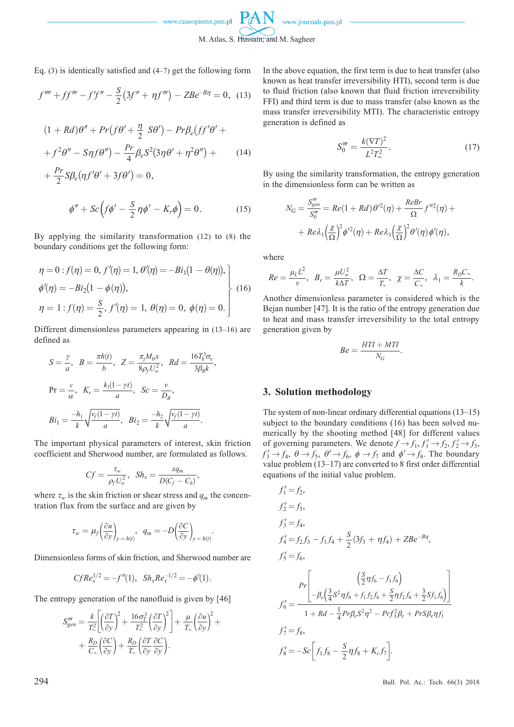M. Atlas, S. Hussain, and M. Sagheer

w.journals.pan.pl

Eq. (3) is identically satisfied and (4–7) get the following form

$$
f'''' + ff''' - f'f'' - \frac{S}{2}(3f'' + \eta f''') - ZBe^{-B\eta} = 0, \tag{13}
$$

$$
(1 + Rd)\theta'' + Pr(f\theta' + \frac{\eta}{2} S\theta') - Pr\beta_e(ff'\theta' ++ f^2\theta'' - S\eta f\theta'') - \frac{Pr}{4}\beta_e S^2(3\eta\theta' + \eta^2\theta'') +
$$
(14)

$$
+\frac{Pr}{2}S\beta_e(\eta f'\theta' + 3f\theta') = 0,
$$
  

$$
\phi'' + Sc\left(f\phi' - \frac{S}{2}\eta\phi' - K_r\phi\right) = 0.
$$
 (15)

By applying the similarity transformation (12) to (8) the boundary conditions get the following form:

$$
\eta = 0: f(\eta) = 0, f'(\eta) = 1, \theta'(\eta) = -Bi_1(1 - \theta(\eta)),
$$
  
\n
$$
\phi'(\eta) = -Bi_2(1 - \phi(\eta)),
$$
  
\n
$$
\eta = 1: f(\eta) = \frac{S}{2}, f'(\eta) = 1, \theta(\eta) = 0, \phi(\eta) = 0.
$$
\n(16)

Different dimensionless parameters appearing in (13–16) are defined as

$$
S = \frac{\gamma}{a}, \ B = \frac{\pi h(t)}{b}, \ Z = \frac{\pi_j M_0 x}{8 \rho_f U_w^2}, \ Rd = \frac{16 T_h^3 \sigma_e}{3 \beta_R k},
$$
  

$$
Pr = \frac{v}{\alpha}, \ K_r = \frac{k_1 (1 - \gamma t)}{a}, \ Sc = \frac{v}{D_B},
$$
  

$$
Bi_1 = \frac{-h_1}{k} \sqrt{\frac{v_f (1 - \gamma t)}{a}}, \ Bi_2 = \frac{-h_2}{k} \sqrt{\frac{v_f (1 - \gamma t)}{a}}.
$$

The important physical parameters of interest, skin friction coefficient and Sherwood number, are formulated as follows.

$$
Cf = \frac{\tau_w}{\rho_f U_w^2}, \quad Sh_x = \frac{xq_m}{D(C_f - C_h)},
$$

where  $\tau_w$  is the skin friction or shear stress and  $q_m$  the concentration flux from the surface and are given by

$$
\tau_w = \mu_f \left(\frac{\partial u}{\partial y}\right)_{y=h(t)}, \quad q_m = -D \left(\frac{\partial C}{\partial y}\right)_{y=h(t)}.
$$

Dimensionless forms of skin friction, and Sherwood number are

$$
CfRe_x^{1/2} = -f''(1), Sh_x Re_x^{-1/2} = -\phi'(1).
$$

The entropy generation of the nanofluid is given by [46]

$$
S_{gen}^{\prime \prime \prime} = \frac{k}{T_{\infty}^{2}} \left[ \left( \frac{\partial T}{\partial y} \right)^{2} + \frac{16 \sigma_{T}^{3}}{T_{\infty}^{2}} \left( \frac{\partial T}{\partial y} \right)^{2} \right] + \frac{\mu}{T_{\infty}} \left( \frac{\partial u}{\partial y} \right)^{2} + \\ + \frac{R_{D}}{C_{\infty}} \left( \frac{\partial C}{\partial y} \right) + \frac{R_{D}}{T_{\infty}} \left( \frac{\partial T}{\partial y} \frac{\partial C}{\partial y} \right).
$$

In the above equation, the first term is due to heat transfer (also known as heat transfer irreversibility HTI), second term is due to fluid friction (also known that fluid friction irreversibility FFI) and third term is due to mass transfer (also known as the mass transfer irreversibility MTI). The characteristic entropy generation is defined as

$$
S_0''' = \frac{k(\nabla T)^2}{L^2 T_\infty^2}.
$$
\n(17)

By using the similarity transformation, the entropy generation in the dimensionless form can be written as

$$
N_G = \frac{S_{gen}^{\prime\prime\prime}}{S_0^{\prime\prime\prime}} = Re(1 + Rd)\theta^{\prime 2}(\eta) + \frac{ReBr}{\Omega} f^{\prime\prime 2}(\eta) +
$$

$$
+ Re\lambda_1 \left(\frac{\chi}{\Omega}\right)^2 \phi^{\prime 2}(\eta) + Re\lambda_1 \left(\frac{\chi}{\Omega}\right)^2 \theta^{\prime}(\eta) \phi^{\prime}(\eta),
$$

where

$$
Re = \frac{\mu_L L^2}{v}, \quad B_r = \frac{\mu U_w^2}{k \Delta T}, \quad \Omega = \frac{\Delta T}{T_\infty}, \quad \chi = \frac{\Delta C}{C_\infty}, \quad \lambda_1 = \frac{R_D C_\infty}{k}.
$$

Another dimensionless parameter is considered which is the Bejan number [47]. It is the ratio of the entropy generation due to heat and mass transfer irreversibility to the total entropy generation given by

$$
Be = \frac{HTI + MTI}{N_G}.
$$

#### **3. Solution methodology**

The system of non-linear ordinary differential equations (13–15) subject to the boundary conditions (16) has been solved numerically by the shooting method [48] for different values of governing parameters. We denote  $f \rightarrow f_1, f'_1 \rightarrow f_2, f'_2 \rightarrow f_3$ ,  $f'_3 \rightarrow f_4$ ,  $\theta \rightarrow f_5$ ,  $\theta' \rightarrow f_6$ ,  $\phi \rightarrow f_7$  and  $\phi' \rightarrow f_8$ . The boundary value problem (13–17) are converted to 8 first order differential equations of the initial value problem.

$$
f'_{1} = f_{2},
$$
  
\n
$$
f'_{2} = f_{3},
$$
  
\n
$$
f'_{3} = f_{4},
$$
  
\n
$$
f'_{4} = f_{2}f_{3} - f_{1}f_{4} + \frac{S}{2}(3f_{3} + \eta f_{4}) + ZBe^{-B\eta},
$$
  
\n
$$
f'_{5} = f_{6},
$$
  
\n
$$
Pr\left[\begin{array}{c} \left(\frac{S}{2}\eta f_{6} - f_{1}f_{6}\right) \\ -\beta_{e}\left(\frac{3}{4}S^{2}\eta f_{6} + f_{1}f_{2}f_{6} + \frac{S}{2}\eta f_{2}f_{6} + \frac{3}{2}Sf_{1}f_{6}\right) \end{array}\right]
$$
  
\n
$$
f'_{6} = \frac{1 + Rd - \frac{1}{4}Pr\beta_{e}S^{2}\eta^{2} - Prf_{1}^{2}\beta_{e} + PrS\beta_{e}\eta f_{1}}{1 + Rd - \frac{1}{4}Pr\beta_{e}S^{2}\eta^{2} - Prf_{1}^{2}\beta_{e} + PrS\beta_{e}\eta f_{1}}
$$
  
\n
$$
f'_{7} = f_{8},
$$
  
\n
$$
f'_{8} = -Sc\left[f_{1}f_{8} - \frac{S}{2}\eta f_{8} + K_{r}f_{7}\right].
$$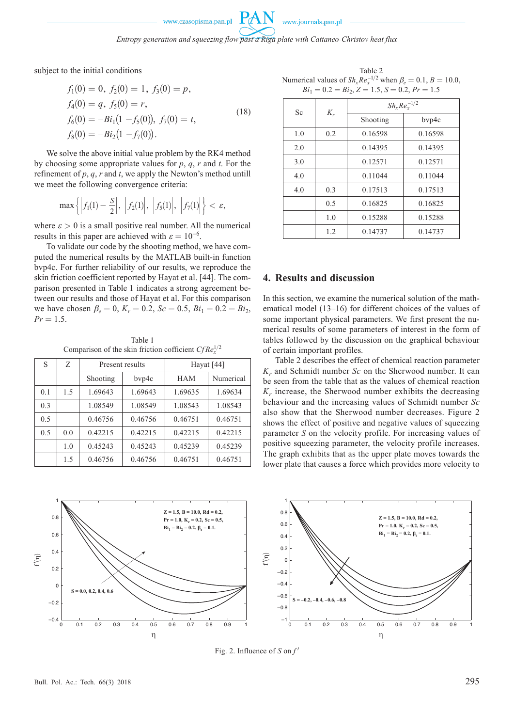*Entropy generation and squeezing flow past a Riga plate with Cattaneo-Christov heat flux*

subject to the initial conditions

$$
f_1(0) = 0, f_2(0) = 1, f_3(0) = p,
$$
  
\n
$$
f_4(0) = q, f_5(0) = r,
$$
  
\n
$$
f_6(0) = -Bi_1(1 - f_5(0)), f_7(0) = t,
$$
  
\n
$$
f_8(0) = -Bi_2(1 - f_7(0)).
$$
\n(18)

We solve the above initial value problem by the RK4 method by choosing some appropriate values for *p*, *q*, *r* and *t*. For the refinement of  $p$ ,  $q$ ,  $r$  and  $t$ , we apply the Newton's method untill we meet the following convergence criteria:

$$
\max\left\{\left|f_1(1)-\frac{S}{2}\right|,\ \left|f_2(1)\right|,\ \left|f_5(1)\right|,\ \left|f_7(1)\right|\right\}<\varepsilon,
$$

where  $\varepsilon > 0$  is a small positive real number. All the numerical results in this paper are achieved with  $\varepsilon = 10^{-6}$ .

To validate our code by the shooting method, we have computed the numerical results by the MATLAB built-in function bvp4c. For further reliability of our results, we reproduce the skin friction coefficient reported by Hayat et al. [44]. The comparison presented in Table 1 indicates a strong agreement between our results and those of Hayat et al. For this comparison we have chosen  $\beta_e = 0$ ,  $K_r = 0.2$ ,  $Sc = 0.5$ ,  $Bi_1 = 0.2 = Bi_2$ ,  $Pr = 1.5$ .

Table 1 Comparison of the skin friction cofficient  $CfRe<sub>x</sub><sup>1/2</sup>$ 

| S   | Z   | Present results |         | Hayat $[44]$ |           |
|-----|-----|-----------------|---------|--------------|-----------|
|     |     | Shooting        | byp4c   | <b>HAM</b>   | Numerical |
| 0.1 | 1.5 | 1.69643         | 1.69643 | 1.69635      | 1.69634   |
| 0.3 |     | 1.08549         | 1.08549 | 1.08543      | 1.08543   |
| 0.5 |     | 0.46756         | 0.46756 | 0.46751      | 0.46751   |
| 0.5 | 0.0 | 0.42215         | 0.42215 | 0.42215      | 0.42215   |
|     | 1.0 | 0.45243         | 0.45243 | 0.45239      | 0.45239   |
|     | 1.5 | 0.46756         | 0.46756 | 0.46751      | 0.46751   |

Table 2 Numerical values of  $Sh_x Re_x^{-1/2}$  when  $\beta_e = 0.1, B = 10.0,$  $Bi_1 = 0.2 = Bi_2, Z = 1.5, S = 0.2, Pr = 1.5$ 

| Sc  | $K_r$ | $Sh_x Re_x^{-1/2}$ |         |  |
|-----|-------|--------------------|---------|--|
|     |       | Shooting           | bvp4c   |  |
| 1.0 | 0.2   | 0.16598            | 0.16598 |  |
| 2.0 |       | 0.14395            | 0.14395 |  |
| 3.0 |       | 0.12571            | 0.12571 |  |
| 4.0 |       | 0.11044            | 0.11044 |  |
| 4.0 | 0.3   | 0.17513            | 0.17513 |  |
|     | 0.5   | 0.16825            | 0.16825 |  |
|     | 1.0   | 0.15288            | 0.15288 |  |
|     | 1.2   | 0.14737            | 0.14737 |  |

## **4. Results and discussion**

In this section, we examine the numerical solution of the mathematical model (13–16) for different choices of the values of some important physical parameters. We first present the numerical results of some parameters of interest in the form of tables followed by the discussion on the graphical behaviour of certain important profiles.

Table 2 describes the effect of chemical reaction parameter *Kr* and Schmidt number *Sc* on the Sherwood number. It can be seen from the table that as the values of chemical reaction *Kr* increase, the Sherwood number exhibits the decreasing behaviour and the increasing values of Schmidt number *Sc* also show that the Sherwood number decreases. Figure 2 shows the effect of positive and negative values of squeezing parameter *S* on the velocity profile. For increasing values of positive squeezing parameter, the velocity profile increases. The graph exhibits that as the upper plate moves towards the lower plate that causes a force which provides more velocity to



Fig. 2. Influence of  $S$  on  $f'$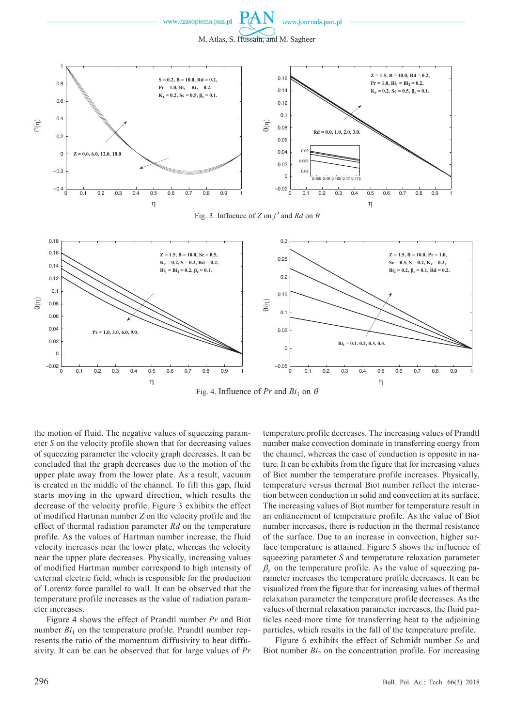







Fig. 4. Influence of  $Pr$  and  $Bi_1$  on  $\theta$ 

the motion of fluid. The negative values of squeezing parameter *S* on the velocity profile shown that for decreasing values of squeezing parameter the velocity graph decreases. It can be concluded that the graph decreases due to the motion of the upper plate away from the lower plate. As a result, vacuum is created in the middle of the channel. To fill this gap, fluid starts moving in the upward direction, which results the decrease of the velocity profile. Figure 3 exhibits the effect of modified Hartman number *Z* on the velocity profile and the effect of thermal radiation parameter *Rd* on the temperature profile. As the values of Hartman number increase, the fluid velocity increases near the lower plate, whereas the velocity near the upper plate decreases. Physically, increasing values of modified Hartman number correspond to high intensity of external electric field, which is responsible for the production of Lorentz force parallel to wall. It can be observed that the temperature profile increases as the value of radiation parameter increases.

Figure 4 shows the effect of Prandtl number *Pr* and Biot number  $Bi_1$  on the temperature profile. Prandtl number represents the ratio of the momentum diffusivity to heat diffusivity. It can be can be observed that for large values of *Pr* temperature profile decreases. The increasing values of Prandtl number make convection dominate in transferring energy from the channel, whereas the case of conduction is opposite in nature. It can be exhibits from the figure that for increasing values of Biot number the temperature profile increases. Physically, temperature versus thermal Biot number reflect the interaction between conduction in solid and convection at its surface. The increasing values of Biot number for temperature result in an enhancement of temperature profile. As the value of Biot number increases, there is reduction in the thermal resistance of the surface. Due to an increase in convection, higher surface temperature is attained. Figure 5 shows the influence of squeezing parameter *S* and temperature relaxation parameter  $\beta_e$  on the temperature profile. As the value of squeezing parameter increases the temperature profile decreases. It can be visualized from the figure that for increasing values of thermal relaxation parameter the temperature profile decreases. As the values of thermal relaxation parameter increases, the fluid particles need more time for transferring heat to the adjoining particles, which results in the fall of the temperature profile.

Figure 6 exhibits the effect of Schmidt number *Sc* and Biot number *Bi*<sub>2</sub> on the concentration profile. For increasing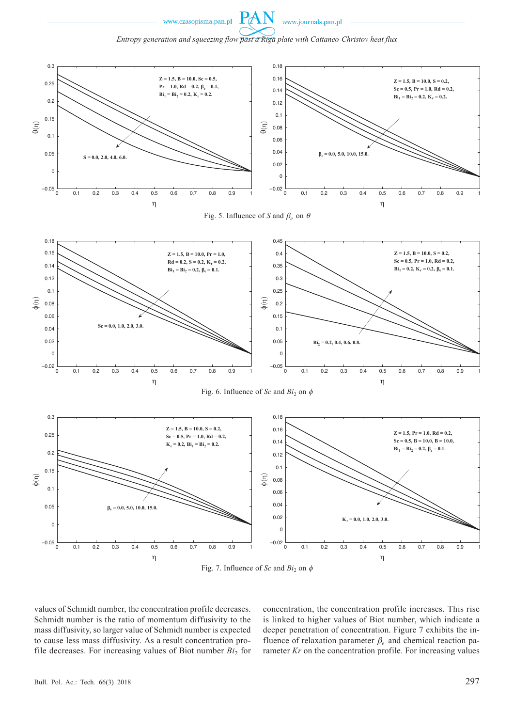

*Entropy generation and squeezing flow past a Riga plate with Cattaneo-Christov heat flux*

PA





values of Schmidt number, the concentration profile decreases. Schmidt number is the ratio of momentum diffusivity to the mass diffusivity, so larger value of Schmidt number is expected to cause less mass diffusivity. As a result concentration profile decreases. For increasing values of Biot number  $Bi_2$  for concentration, the concentration profile increases. This rise is linked to higher values of Biot number, which indicate a deeper penetration of concentration. Figure 7 exhibits the influence of relaxation parameter β*e* and chemical reaction parameter *Kr* on the concentration profile. For increasing values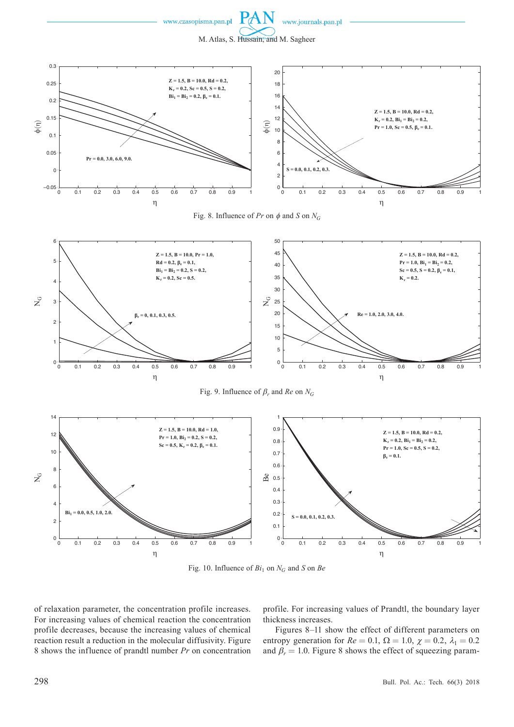

www.journals.pan.pl







1

 $\Omega$ 

່ດ

0.1

 $0.2$ 

0.3



Fig. 10. Influence of  $Bi_1$  on  $N_G$  and *S* on *Be* 

of relaxation parameter, the concentration profile increases. For increasing values of chemical reaction the concentration profile decreases, because the increasing values of chemical reaction result a reduction in the molecular diffusivity. Figure 8 shows the influence of prandtl number *Pr* on concentration

0 0.1 0.2 0.3 0.4 0.5 0.6 0.7 0.8 0.0 1

0.5

0.6

0.7

0.8

0.9

 $0.4$ 

h

η

profile. For increasing values of Prandtl, the boundary layer thickness increases.

0 0.1 0.2 0.3 0.4 0.5 0.6 0.7 0.8 0.0 1

0.5

0.6

0.7

0.8

0.9

1

0.4

h

η

Figures 8–11 show the effect of different parameters on entropy generation for  $Re = 0.1$ ,  $\Omega = 1.0$ ,  $\chi = 0.2$ ,  $\lambda_1 = 0.2$ and  $\beta_r = 1.0$ . Figure 8 shows the effect of squeezing param-

 $\Omega$ 

0

 $0.1$ 

 $0.2$ 

0.3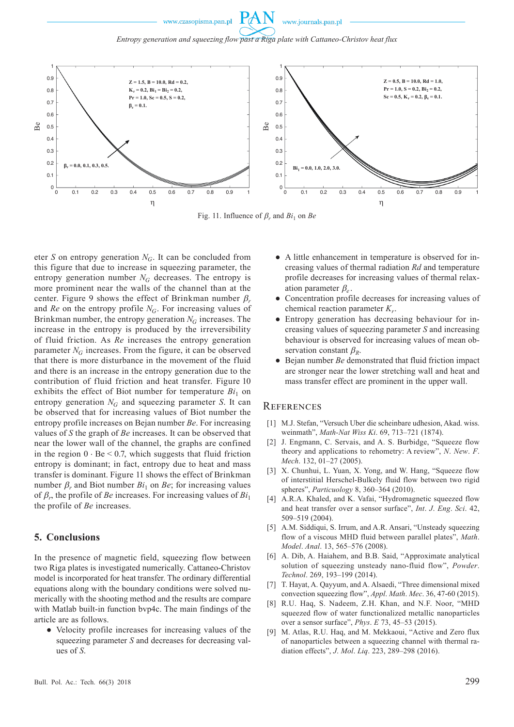*Entropy generation and squeezing flow past a Riga plate with Cattaneo-Christov heat flux*



Fig. 11. Influence of  $\beta_r$  and  $Bi_1$  on *Be* 

eter *S* on entropy generation  $N_G$ . It can be concluded from this figure that due to increase in squeezing parameter, the entropy generation number  $N_G$  decreases. The entropy is more prominent near the walls of the channel than at the center. Figure 9 shows the effect of Brinkman number β*<sup>r</sup>* and *Re* on the entropy profile  $N_G$ . For increasing values of Brinkman number, the entropy generation  $N_G$  increases. The increase in the entropy is produced by the irreversibility of fluid friction. As *Re* increases the entropy generation parameter  $N_G$  increases. From the figure, it can be observed that there is more disturbance in the movement of the fluid and there is an increase in the entropy generation due to the contribution of fluid friction and heat transfer. Figure 10 exhibits the effect of Biot number for temperature  $Bi_1$  on entropy generation  $N_G$  and squeezing parameter *S*. It can be observed that for increasing values of Biot number the entropy profile increases on Bejan number *Be*. For increasing values of *S* the graph of *Be* increases. It can be observed that near the lower wall of the channel, the graphs are confined in the region  $0 \cdot \text{Be} \leq 0.7$ , which suggests that fluid friction entropy is dominant; in fact, entropy due to heat and mass transfer is dominant. Figure 11 shows the effect of Brinkman number  $\beta_r$  and Biot number  $Bi_1$  on  $Be$ ; for increasing values of  $\beta_r$ , the profile of *Be* increases. For increasing values of  $Bi_1$ the profile of *Be* increases.

### **5. Conclusions**

In the presence of magnetic field, squeezing flow between two Riga plates is investigated numerically. Cattaneo-Christov model is incorporated for heat transfer. The ordinary differential equations along with the boundary conditions were solved numerically with the shooting method and the results are compare with Matlab built-in function bvp4c. The main findings of the article are as follows.

● Velocity profile increases for increasing values of the squeezing parameter *S* and decreases for decreasing values of *S*.

- A little enhancement in temperature is observed for increasing values of thermal radiation *Rd* and temperature profile decreases for increasing values of thermal relaxation parameter β*<sup>e</sup>* .
- Concentration profile decreases for increasing values of chemical reaction parameter  $K_r$ .
- Entropy generation has decreasing behaviour for increasing values of squeezing parameter *S* and increasing behaviour is observed for increasing values of mean observation constant  $\beta_R$ .
- Bejan number *Be* demonstrated that fluid friction impact are stronger near the lower stretching wall and heat and mass transfer effect are prominent in the upper wall.

#### **REFERENCES**

- [1] M.J. Stefan, "Versuch Uber die scheinbare udhesion, Akad. wiss. weinmath", *Math-Nat Wiss Ki*. 69, 713–721 (1874).
- [2] J. Engmann, C. Servais, and A. S. Burbidge, "Squeeze flow theory and applications to rehometry: A review", *N*. *New*. *F*. *Mech*. 132, 01–27 (2005).
- [3] X. Chunhui, L. Yuan, X. Yong, and W. Hang, "Squeeze flow of interstitial Herschel-Bulkely fluid flow between two rigid spheres", *Particuology* 8, 360‒364 (2010).
- [4] A.R.A. Khaled, and K. Vafai, "Hydromagnetic squeezed flow and heat transfer over a sensor surface", *Int*. *J*. *Eng*. *Sci*. 42, 509‒519 (2004).
- [5] A.M. Siddiqui, S. Irrum, and A.R. Ansari, "Unsteady squeezing flow of a viscous MHD fluid between parallel plates", *Math*. *Model*. *Anal*. 13, 565‒576 (2008).
- [6] A. Dib, A. Haiahem, and B.B. Said, "Approximate analytical solution of squeezing unsteady nano-fluid flow", *Powder*. *Technol*. 269, 193‒199 (2014).
- [7] T. Hayat, A. Qayyum, and A. Alsaedi, "Three dimensional mixed convection squeezing flow", *Appl*. *Math*. *Mec*. 36, 47-60 (2015).
- [8] R.U. Haq, S. Nadeem, Z.H. Khan, and N.F. Noor, "MHD squeezed flow of water functionalized metallic nanoparticles over a sensor surface", *Phys*. *E* 73, 45‒53 (2015).
- [9] M. Atlas, R.U. Haq, and M. Mekkaoui, "Active and Zero flux of nanoparticles between a squeezing channel with thermal radiation effects", *J*. *Mol*. *Liq*. 223, 289‒298 (2016).